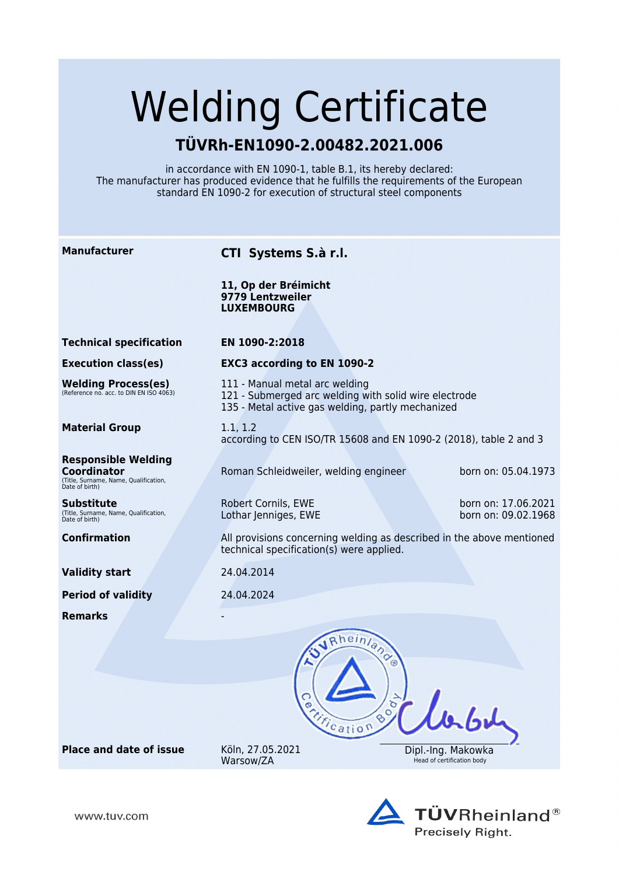# Welding Certificate

## **TÜVRh-EN1090-2.00482.2021.006**

in accordance with EN 1090-1, table B.1, its hereby declared: The manufacturer has produced evidence that he fulfills the requirements of the European standard EN 1090-2 for execution of structural steel components

| <b>Manufacturer</b>                                                                                         | CTI Systems S.à r.l.                                                                                                                         |                                                  |
|-------------------------------------------------------------------------------------------------------------|----------------------------------------------------------------------------------------------------------------------------------------------|--------------------------------------------------|
|                                                                                                             | 11, Op der Bréimicht<br>9779 Lentzweiler<br><b>LUXEMBOURG</b>                                                                                |                                                  |
| <b>Technical specification</b>                                                                              | EN 1090-2:2018                                                                                                                               |                                                  |
| <b>Execution class(es)</b>                                                                                  | <b>EXC3 according to EN 1090-2</b>                                                                                                           |                                                  |
| <b>Welding Process(es)</b><br>(Reference no. acc. to DIN EN ISO 4063)                                       | 111 - Manual metal arc welding<br>121 - Submerged arc welding with solid wire electrode<br>135 - Metal active gas welding, partly mechanized |                                                  |
| <b>Material Group</b>                                                                                       | 1.1, 1.2<br>according to CEN ISO/TR 15608 and EN 1090-2 (2018), table 2 and 3                                                                |                                                  |
| <b>Responsible Welding</b><br><b>Coordinator</b><br>(Title, Surname, Name, Qualification,<br>Date of birth) | Roman Schleidweiler, welding engineer                                                                                                        | born on: 05.04.1973                              |
| Substitute<br>(Title, Surname, Name, Qualification,<br>Date of birth)                                       | Robert Cornils, EWE<br>Lothar Jenniges, EWE                                                                                                  | born on: 17.06.2021<br>born on: 09.02.1968       |
| <b>Confirmation</b>                                                                                         | All provisions concerning welding as described in the above mentioned<br>technical specification(s) were applied.                            |                                                  |
| <b>Validity start</b>                                                                                       | 24.04.2014                                                                                                                                   |                                                  |
| <b>Period of validity</b>                                                                                   | 24.04.2024                                                                                                                                   |                                                  |
| <b>Remarks</b>                                                                                              |                                                                                                                                              |                                                  |
|                                                                                                             | Rheinland<br>Book                                                                                                                            |                                                  |
| <b>Place and date of issue</b>                                                                              | Treation<br>Köln, 27.05.2021<br>Warsow/ZA                                                                                                    | Dipl.-Ing. Makowka<br>Head of certification body |



www.tuv.com